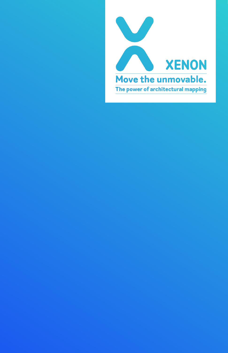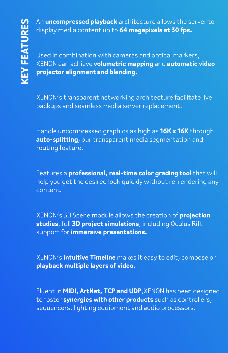An **uncompressed playback** architecture allows the server to display media content up to **64 megapixels at 30 fps.**

Used in combination with cameras and optical markers, XENON can achieve **volumetric mapping** and **automatic video projector alignment and blending.**

XENON's transparent networking architecture facilitate live backups and seamless media server replacement.

Handle uncompressed graphics as high as **16K x 16K** through **auto-splitting**, our transparent media segmentation and routing feature.

Features a **professional, real-time color grading tool** that will help you get the desired look quickly without re-rendering any content.

XENON's 3D Scene module allows the creation of **projection studies**, full **3D project simulations**, including Oculus Rift support for **immersive presentations.**

XENON's **intuitive Timeline** makes it easy to edit, compose or **playback multiple layers of video.**

Fluent in **MIDI, ArtNet, TCP and UDP**,XENON has been designed to foster **synergies with other products** such as controllers, sequencers, lighting equipment and audio processors.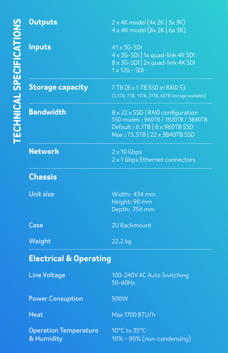| <b>Outputs</b>                             | $2 \times 4K$ model $(4 \times 2K \mid 3 \times 3K)$<br>$4 \times 4$ K model $(8 \times 2$ K $6 \times 3$ K)                                            |
|--------------------------------------------|---------------------------------------------------------------------------------------------------------------------------------------------------------|
| <b>Inputs</b>                              | $41 \times 3G - SDI$<br>4 x 3G-SDI   1x quad-link 4K SDI<br>8 x 3G-SDI   2x quad-link 4K SDI<br>$1 \times 12G - SDI$                                    |
| <b>Storage capacity</b>                    | $7TB(8 \times 1TB SSD)$ in RAID 5)<br>(3.5TB, 7TB, 15TB, 31TB, 63TB storage available)                                                                  |
| <b>Bandwidth</b>                           | $8 \times 22 \times$ SSD   RAID configuration<br>SSD models: 960TB / 1920TB / 3840TB<br>Default: 6.1TB   8 x 960TB SSD<br>Max: 73.3TB   22 x 3840TB SSD |
| Network                                    | $2 \times 10$ Gbps<br>2 x 1 Gbps Ethernet connectors                                                                                                    |
| <b>Chassis</b>                             |                                                                                                                                                         |
| Unit size                                  | Width: 434 mm<br>Height: 90 mm<br>Depth: 754 mm                                                                                                         |
| Case                                       | 2U Rackmount                                                                                                                                            |
| Weight                                     | 22.2 kg                                                                                                                                                 |
| <b>Electrical &amp; Operating</b>          |                                                                                                                                                         |
| <b>Line Voltage</b>                        | 100-240V AC Auto Switching<br>50-60Hz                                                                                                                   |
| <b>Power Consuption</b>                    | 500W                                                                                                                                                    |
| <b>Heat</b>                                | Max 1700 BTU/h                                                                                                                                          |
| <b>Operation Temperature</b><br>& Humidity | 10°C to 35°C<br>10% ~ 90% (non-condensing)                                                                                                              |